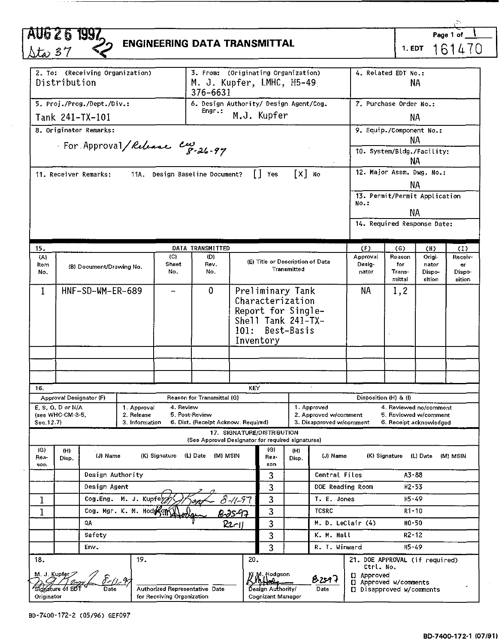| $\Delta t$ a 37                                                                                                                                              | AUG 26 1997           |                            |                              |                            | <b>ENGINEERING DATA TRANSMITTAL</b>                   |         |                                                                |              |                                                   |                                                                    | 1. EDT                                           |                        | Page 1 of<br>161470 |  |
|--------------------------------------------------------------------------------------------------------------------------------------------------------------|-----------------------|----------------------------|------------------------------|----------------------------|-------------------------------------------------------|---------|----------------------------------------------------------------|--------------|---------------------------------------------------|--------------------------------------------------------------------|--------------------------------------------------|------------------------|---------------------|--|
| 2. To: (Receiving Organization)<br>3. From: (Originating Organization)<br>4. Related EDT No.:<br>Distribution<br>M. J. Kupfer, LMHC, H5-49<br>NА<br>376-6631 |                       |                            |                              |                            |                                                       |         |                                                                |              |                                                   |                                                                    |                                                  |                        |                     |  |
|                                                                                                                                                              |                       | 5. Proj./Prog./Dept./Div.: |                              |                            | 6. Design Authority/ Design Agent/Cog.                |         |                                                                |              |                                                   |                                                                    | 7. Purchase Order No.:                           |                        |                     |  |
|                                                                                                                                                              |                       | Tank 241–TX–101            |                              |                            | $Engr.$ :                                             |         | M.J. Kupfer                                                    |              |                                                   |                                                                    | ΝA                                               |                        |                     |  |
|                                                                                                                                                              |                       | 8. Originator Remarks:     |                              |                            |                                                       |         |                                                                |              |                                                   |                                                                    | 9. Equip./Component No.:                         |                        |                     |  |
|                                                                                                                                                              |                       |                            |                              |                            | For Approval/Release Cw                               |         |                                                                |              |                                                   |                                                                    | NА<br>10. System/Bldg./Facility:<br>ΝA           |                        |                     |  |
|                                                                                                                                                              |                       | 11. Receiver Remarks:      |                              |                            | 11A. Design Baseline Document?                        |         | II Yes                                                         | [X] No       |                                                   |                                                                    | 12. Major Assm. Dwg. No.:                        |                        |                     |  |
|                                                                                                                                                              |                       |                            |                              |                            |                                                       |         |                                                                |              |                                                   |                                                                    | NА                                               |                        |                     |  |
|                                                                                                                                                              |                       |                            |                              |                            |                                                       |         |                                                                |              |                                                   |                                                                    | 13. Permit/Permit Application                    |                        |                     |  |
|                                                                                                                                                              |                       |                            |                              |                            |                                                       |         |                                                                |              |                                                   | $No.$ :                                                            | NА                                               |                        |                     |  |
|                                                                                                                                                              |                       |                            |                              |                            |                                                       |         |                                                                |              |                                                   |                                                                    | 14. Required Response Date:                      |                        |                     |  |
|                                                                                                                                                              |                       |                            |                              |                            |                                                       |         |                                                                |              |                                                   |                                                                    |                                                  |                        |                     |  |
| 15.                                                                                                                                                          |                       |                            |                              |                            | DATA TRANSMITTED                                      |         |                                                                |              |                                                   | (F)                                                                | (G)                                              | (H)                    | (1)                 |  |
| (A)                                                                                                                                                          |                       |                            |                              | (C)                        | (D)                                                   |         | (E) Title or Description of Data                               |              |                                                   | Approval                                                           | Reason                                           | Origi-                 | Receiv-             |  |
| Item<br>No.                                                                                                                                                  |                       | (B) Document/Drawing No.   |                              | <b>Sheet</b><br>No.        | Rev.<br>No.                                           |         | Transmitted                                                    |              | Desig-<br>nator                                   | for<br>Trans-<br>mittal                                            | nator<br>Dispo-<br>sition                        | er<br>Dispo-<br>sition |                     |  |
| 1                                                                                                                                                            |                       | HNF-SD-WM-ER-689           |                              |                            | $\mathbf{0}$                                          |         | Preliminary Tank<br>Characterization                           |              | ΝA                                                | 1,2                                                                |                                                  |                        |                     |  |
|                                                                                                                                                              |                       |                            |                              |                            |                                                       |         |                                                                |              |                                                   |                                                                    |                                                  |                        |                     |  |
|                                                                                                                                                              |                       |                            |                              |                            |                                                       |         | Report for Single-<br>Shell Tank 241-TX-<br>101:<br>Best-Basis |              |                                                   |                                                                    |                                                  |                        |                     |  |
|                                                                                                                                                              |                       |                            |                              |                            |                                                       |         |                                                                |              |                                                   |                                                                    |                                                  |                        |                     |  |
|                                                                                                                                                              |                       |                            |                              |                            |                                                       |         | Inventory                                                      |              |                                                   |                                                                    |                                                  |                        |                     |  |
|                                                                                                                                                              |                       |                            |                              |                            |                                                       |         |                                                                |              |                                                   |                                                                    |                                                  |                        |                     |  |
|                                                                                                                                                              |                       |                            |                              |                            |                                                       |         |                                                                |              |                                                   |                                                                    |                                                  |                        |                     |  |
|                                                                                                                                                              |                       |                            |                              |                            |                                                       |         |                                                                |              |                                                   |                                                                    |                                                  |                        |                     |  |
| 16.                                                                                                                                                          |                       |                            |                              |                            |                                                       |         | <b>KEY</b>                                                     |              |                                                   |                                                                    |                                                  |                        |                     |  |
|                                                                                                                                                              | $E, S, Q, D$ or $N/A$ | Approval Designator (F)    | 1. Approval                  | 4. Review                  | Reason for Transmittal (G)                            |         |                                                                |              | 1. Approved                                       |                                                                    | Disposition (H) & (I)<br>4. Reviewed no/comment  |                        |                     |  |
| Sec. 12.7)                                                                                                                                                   | (see WHC-CM-3-5,      |                            | 2. Release<br>3. Information |                            | 5. Post-Review<br>6. Dist. (Receipt Acknow, Required) |         |                                                                |              | 2. Approved w/comment<br>3. Disapproved w/comment |                                                                    | 5. Reviewed w/comment<br>6. Receipt acknowledged |                        |                     |  |
|                                                                                                                                                              |                       |                            |                              |                            | (See Approval Designator for required signatures)     |         | 17. SIGNATURE/DISTRIBUTION                                     |              |                                                   |                                                                    |                                                  |                        |                     |  |
| (G)<br>Rea-<br>son                                                                                                                                           | (H)<br>Disp.          | (J) Name                   |                              |                            | (K) Signature (L) Date (M) MSIN                       |         | (G)<br>Rea-<br>son                                             | (H)<br>Disp. | (J) Name                                          |                                                                    | (K) Signature (L) Date (M) MSIN                  |                        |                     |  |
|                                                                                                                                                              |                       | Design Authority           |                              |                            |                                                       |         | 3                                                              |              | Central Files                                     |                                                                    | A3-88                                            |                        |                     |  |
|                                                                                                                                                              |                       | Design Agent               |                              |                            |                                                       |         | 3                                                              |              |                                                   | DOE Reading Room<br>$H2 - 53$                                      |                                                  |                        |                     |  |
| 1                                                                                                                                                            |                       |                            | Cog.Eng. M. J. Kupfe         |                            |                                                       | 8-11-97 | 3                                                              |              | T. E. Jones                                       | $H5 - 49$                                                          |                                                  |                        |                     |  |
| 1                                                                                                                                                            |                       |                            | Cog. Mgr. K. M. Hodgog       |                            |                                                       | 8-25-97 | 3                                                              |              | <b>TCSRC</b>                                      |                                                                    | $R1 - 10$                                        |                        |                     |  |
|                                                                                                                                                              |                       | QA                         |                              |                            |                                                       | R2-11   | 3                                                              |              |                                                   | M. D. LeClair (4)                                                  | H <sub>0</sub> -50                               |                        |                     |  |
|                                                                                                                                                              |                       | Safety                     |                              |                            |                                                       |         | 3                                                              |              | K. M. Hall                                        |                                                                    | $R2 - 12$                                        |                        |                     |  |
|                                                                                                                                                              |                       | Env.                       |                              |                            |                                                       |         | 3                                                              |              | R. T. Winward                                     |                                                                    | $H5 - 49$                                        |                        |                     |  |
| 18.                                                                                                                                                          |                       |                            | 19.                          |                            |                                                       |         | 20.                                                            |              |                                                   | 21. DOE APPROVAL (if required)<br>Ctrl. No.                        |                                                  |                        |                     |  |
|                                                                                                                                                              | Sionature of El       |                            |                              |                            | Authorized Representative Date                        |         | / M. Hodgson<br>M. Hodgson<br>Design Authority/                |              | -2597<br>Date                                     | [] Approved<br>[] Approved w/comments<br>[] Disapproved w/comments |                                                  |                        |                     |  |
| Originator                                                                                                                                                   |                       |                            |                              | for Receiving Organization |                                                       |         | Cognizant Manager                                              |              |                                                   |                                                                    |                                                  |                        |                     |  |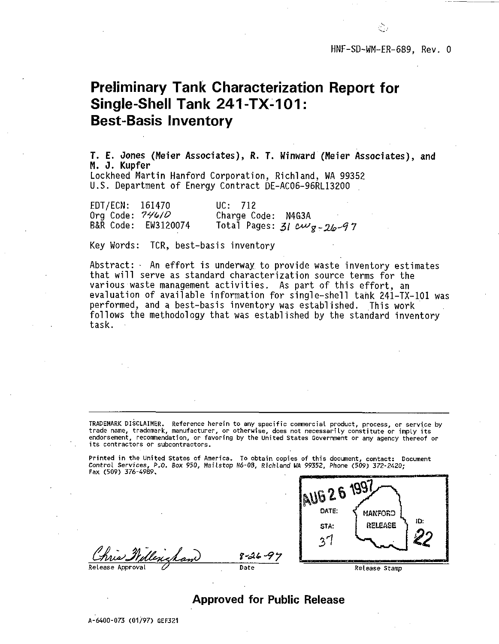## Preliminary Tank Characterization Report for Single-Shell Tank 241-TX-101: Best-Basis Inventory

**T. E. Jones (Meier Associates), R. T. Winward (Meier Associates), and M. J. Kupfer**

Lockheed Martin Hanford Corporation, Richland, WA 99352 U.S. Department of Energy Contract DE-AC06-96RL13200

| EDT/ECN: 161470     | UC: 712                    |  |
|---------------------|----------------------------|--|
| Org Code: $746/D$   | Charge Code: N4G3A         |  |
| B&R Code: EW3120074 | Total Pages: 31 cm g-26-97 |  |

Key Words: TCR, best-basis inventory

Abstract: • An effort is underway to provide waste inventory estimates that will serve as standard characterization source terms for the various waste management activities. As part of this effort, an evaluation of available information for single-shell tank 241-TX-101 was performed, and a best-basis inventory was established. This work follows the methodology that was established by the standard inventory task.

TRADEMARK DISCLAIMER. Reference herein to any specific commercial product, process, or service by trade name, trademark, manufacturer, or otherwise, does not necessarily constitute or imply its endorsement, recommendation, or favoring by the United States Government or any agency thereof or its contractors or subcontractors.

Printed in the United States of America. To obtain copies of this document, contact: Document Control Services, P.O. Box 950, Mailstop H6-08, Richland WA 99352, Phone (509) 372-2420; Fax (509) 376-4989.

**t-Ak -97** Date



#### Approved for Public Release

A-6400-073 (01/97) GEF321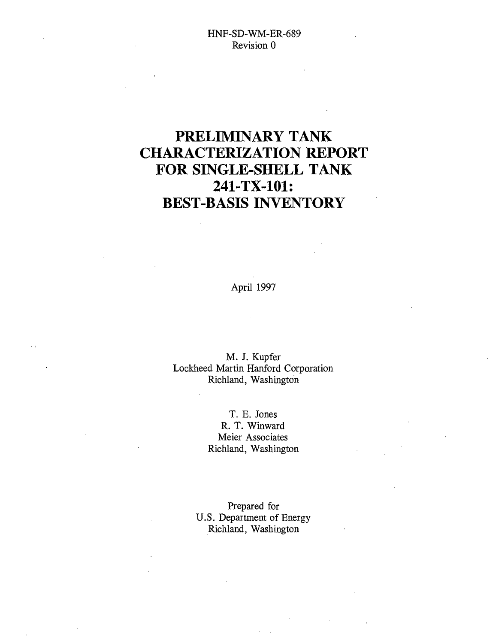# PRELIMINARY TANK CHARACTERIZATION REPORT FOR SINGLE-SHELL TANK 241-TX-101: BEST-BASIS INVENTORY

April 1997

M. J. Kupfer Lockheed Martin Hanford Corporation Richland, Washington

> T. E. Jones R. T. Winward Meier Associates Richland, Washington

Prepared for U.S. Department of Energy Richland, Washington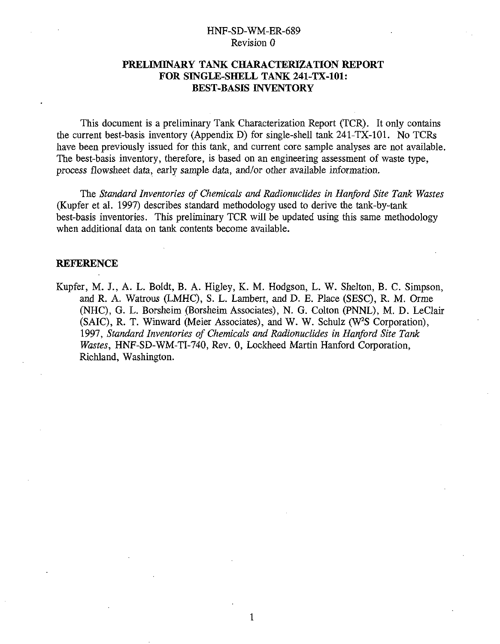### **PRELIMINARY TANK CHARACTERIZATION REPORT FOR SINGLE-SHELL TANK 241-TX-lOl: BEST-BASIS INVENTORY**

This document is a preliminary Tank Characterization Report (TCR). It only contains the current best-basis inventory (Appendix D) for single-shell tank 241-TX-lOl. No TCRs have been previously issued for this tank, and current core sample analyses are not available. The best-basis inventory, therefore, is based on an engineering assessment of waste type, process flowsheet data, early sample data, and/or other available information.

The *Standard Inventories of Chemicals and Radionuclides in Hanford Site Tank Wastes* (Kupfer et al. 1997) describes standard methodology used to derive the tank-by-tank best-basis inventories. This preliminary TCR will be updated using this same methodology when additional data on tank contents become available.

### **REFERENCE**

Kupfer, M. J., A. L. Boldt, B. A. Higley, K. M. Hodgson, L. W. Shelton, B. C. Simpson, and R. A. Watrous (LMHC), S. L. Lambert, and D. E. Place (SESC), R. M. Orme (NHC), G. L. Borsheim (Borsheim Associates), N. G. Colton (PNNL), M. D. LeClair (SAIC), R. T. Winward (Meier Associates), and W. W. Schulz (W\*S Corporation), 1997, *Standard Inventories of Chemicals and Radionuclides in Hanford Site Tank Wastes,* HNF-SD-WM-TI-740, Rev. 0, Lockheed Martin Hanford Corporation, Richland, Washington.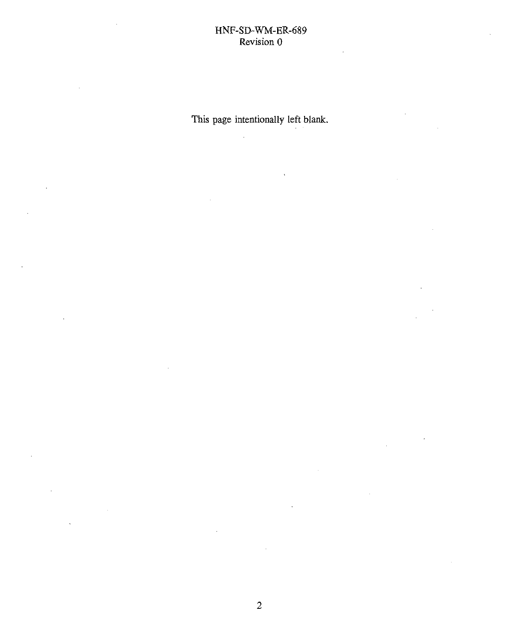This page intentionally left blank.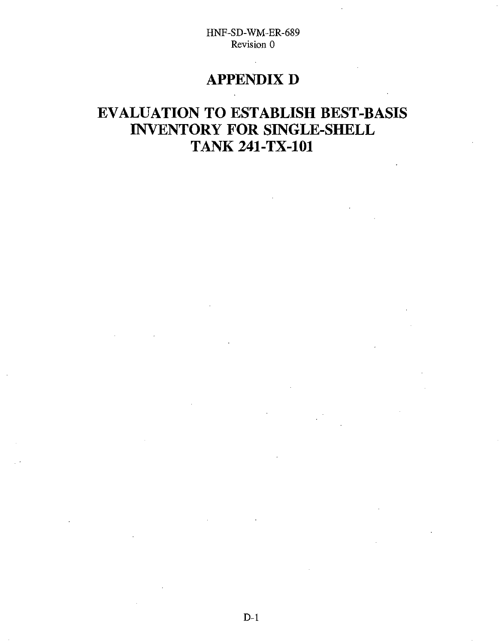## APPENDIX D

# EVALUATION TO ESTABLISH BEST-BASIS INVENTORY FOR SINGLE-SHELL TANK 241-TX-lOl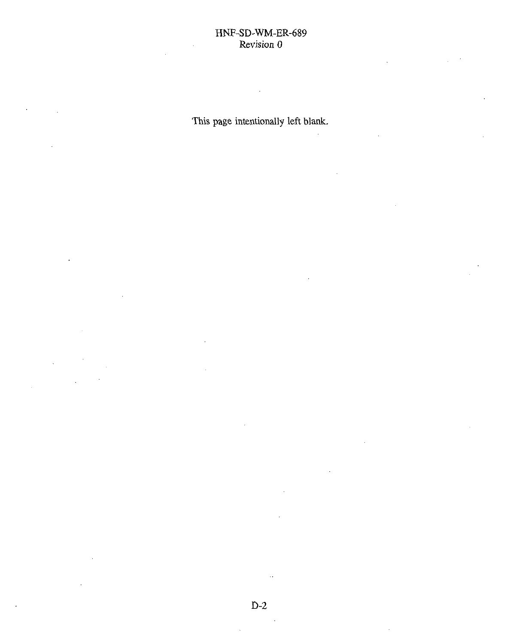This page intentionally left blank.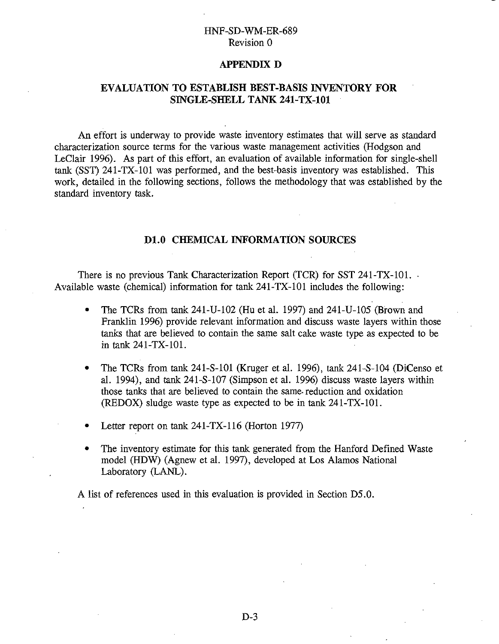#### **APPENDIX D**

## **EVALUATION TO ESTABLISH BEST-BASIS INVENTORY FOR SINGLE-SHELL TANK 241-TX-lOl**

An effort is underway to provide waste inventory estimates that will serve as standard characterization source terms for the various waste management activities (Hodgson and LeClair 1996). As part of this effort, an evaluation of available information for single-shell tank (SST) 241-TX-lOl was performed, and the best-basis inventory was established. This work, detailed in the following sections, follows the methodology that was established by the standard inventory task.

## **D1.0 CHEMICAL INFORMATION SOURCES**

There is no previous Tank Characterization Report (TCR) for SST 241-TX-101. Available waste (chemical) information for tank 241-TX-lOl includes the following:

- The TCRs from tank 241-U-102 (Hu et al. 1997) and 241-U-105 (Brown and Franklin 1996) provide relevant information and discuss waste layers within those tanks that are believed to contain the same salt cake waste type as expected to be in tank 241-TX-101.
- The TCRs from tank 241-S-101 (Kruger et al. 1996), tank 241-S-104 (DiCenso et al. 1994), and tank 241-S-107 (Simpson et al. 1996) discuss waste layers within those tanks that are believed to contain the same, reduction and oxidation (REDOX) sludge waste type as expected to be in tank 241-TX-lOl.
- Letter report on tank 241-TX-116 (Horton 1977)
- The inventory estimate for this tank generated from the Hanford Defined Waste model (HDW) (Agnew et al. 1997), developed at Los Alamos National Laboratory (LANL).

A list of references used in this evaluation is provided in Section D5.0.

D-3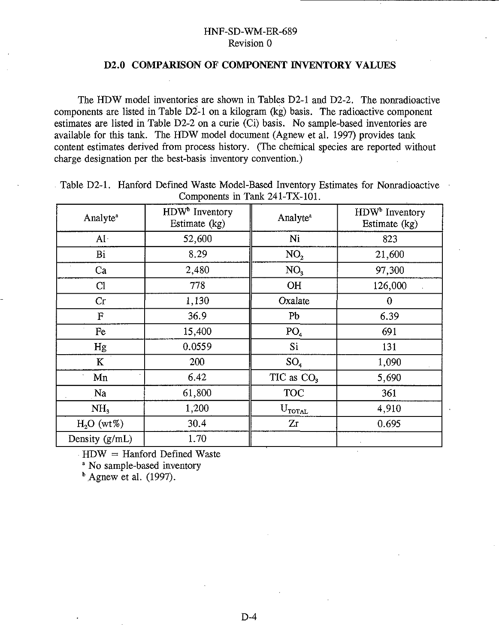### **D2.0 COMPARISON OF COMPONENT INVENTORY VALUES**

The HDW model inventories are shown in Tables D2-1 and D2-2. The nonradioactive components are listed in Table D2-1 on a kilogram (kg) basis. The radioactive component estimates are listed in Table D2-2 on a curie (Ci) basis. No sample-based inventories are available for this tank. The HDW model document (Agnew et al. 1997) provides tank content estimates derived from process history. (The chemical species are reported without charge designation per the best-basis inventory convention.)

| Analyte <sup>a</sup>  | HDW <sup>b</sup> Inventory<br>Estimate (kg) | Analyte <sup>a</sup>        | HDW <sup>b</sup> Inventory<br>Estimate (kg) |
|-----------------------|---------------------------------------------|-----------------------------|---------------------------------------------|
| AI <sub>1</sub>       | 52,600                                      | Ni                          | 823                                         |
| Bi                    | 8.29                                        | NO <sub>2</sub>             | 21,600                                      |
| Ca                    | 2,480                                       | NO <sub>3</sub>             | 97,300                                      |
| Cl                    | 778                                         | OH                          | 126,000                                     |
| Сr                    | 1,130                                       | Oxalate                     | $\mathbf{0}$                                |
| F                     | 36.9                                        | Pb                          | 6.39                                        |
| Fe                    | 15,400                                      | PO <sub>4</sub>             | 691                                         |
| Hg                    | 0.0559                                      | Si                          | 131                                         |
| K                     | 200                                         | $SO_4$                      | 1,090                                       |
| Mn                    | 6.42                                        | TIC as CO <sub>3</sub>      | 5,690                                       |
| Na                    | 61,800                                      | <b>TOC</b>                  | 361                                         |
| NH <sub>3</sub>       | 1,200                                       | $\mathbf{U}_{\text{total}}$ | 4,910                                       |
| H <sub>2</sub> O(wt%) | 30.4                                        | Zr                          | 0.695                                       |
| Density (g/mL)        | 1.70                                        |                             |                                             |

Table D2-1. Hanford Defined Waste Model-Based Inventory Estimates for Nonradioactive Components in Tank 241-TX-101.

 $HDW =$  Hanford Defined Waste

a No sample-based inventory

 $<sup>b</sup>$  Agnew et al. (1997).</sup>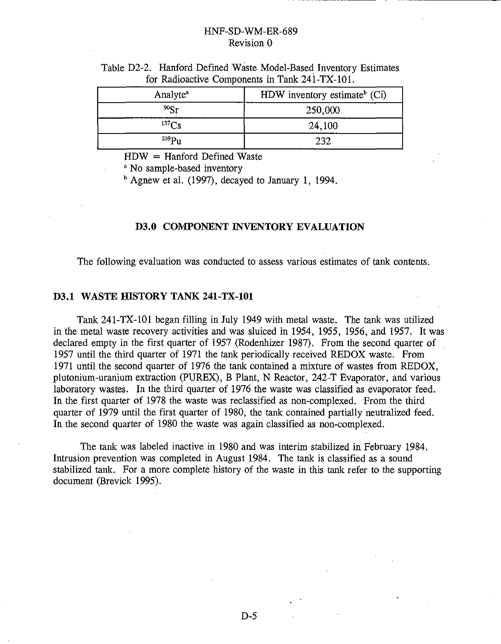| Analyte <sup>a</sup> | HDW inventory estimate <sup>b</sup> (Ci) |
|----------------------|------------------------------------------|
| $90C_T$              | 250,000                                  |
| 137C <sub>c</sub>    | 24,100                                   |
| 239P <sub>U</sub>    | 232                                      |

|  | Table D2-2. Hanford Defined Waste Model-Based Inventory Estimates |  |
|--|-------------------------------------------------------------------|--|
|  | for Radioactive Components in Tank 241-TX-101.                    |  |

 $HDW =$  Hanford Defined Waste

8 No sample-based inventory

 $<sup>b</sup>$  Agnew et al. (1997), decayed to January 1, 1994.</sup>

#### **D3.0 COMPONENT INVENTORY EVALUATION**

The following evaluation was conducted to assess various estimates of tank contents.

## **D3.1 WASTE HISTORY TANK 241-TX-101**

Tank 241-TX-101 began filling in July 1949 with metal waste. The tank was utilized in the metal waste recovery activities and was sluiced in 1954, 1955, 1956, and 1957. It was declared empty in the first quarter of 1957 (Rodenhizer 1987). From the second quarter of 1957 until the third quarter of 1971 the tank periodically received REDOX waste. From 1971 until, the second quarter of 1976 the tank contained a mixture of wastes from REDOX, plutonium-uranium extraction (PUREX), B Plant, N Reactor, 242-T Evaporator, and various laboratory wastes. In the third quarter of 1976 the waste was classified as evaporator feed. In the first quarter of 1978 the waste was reclassified as non-complexed. From the third quarter of 1979 until the first quarter of 1980, the tank contained partially neutralized feed. In the second quarter of 1980 the waste was again classified as non-complexed.

The tank was labeled inactive in 1980 and was interim stabilized in February 1984. Intrusion prevention was completed in August 1984. The tank is classified as a sound stabilized tank. For a more complete history of the waste in this tank refer to the supporting document (Brevick 1995).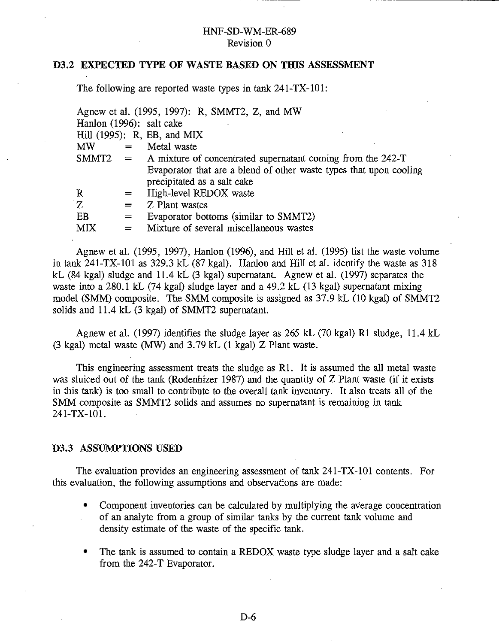### **D3.2 EXPECTED TYPE OF WASTE BASED ON THIS ASSESSMENT**

The following are reported waste types in tank 241-TX-101:

|                          |     | Agnew et al. (1995, 1997): R, SMMT2, Z, and MW                                                    |
|--------------------------|-----|---------------------------------------------------------------------------------------------------|
| Hanlon (1996): salt cake |     |                                                                                                   |
|                          |     | Hill (1995): R, EB, and MIX                                                                       |
| мw                       | $=$ | Metal waste                                                                                       |
|                          |     | $SMMT2 = A$ mixture of concentrated supernatant coming from the 242-T                             |
|                          |     | Evaporator that are a blend of other waste types that upon cooling<br>precipitated as a salt cake |
| R                        | $=$ | High-level REDOX waste                                                                            |
| Z                        | =   | Z Plant wastes                                                                                    |
| EB                       | $=$ | Evaporator bottoms (similar to SMMT2)                                                             |
| MIX                      | $=$ | Mixture of several miscellaneous wastes                                                           |
|                          |     |                                                                                                   |

Agnew et al. (1995, 1997), Hanlon (1996), and Hill et al. (1995) list the waste volume in tank 241-TX-101 as 329.3 kL (87 kgal). Hanlon and Hill et al. identify the waste as 318 kL (84 kgal) sludge and 11.4 kL (3 kgal) supernatant. Agnew et al. (1997) separates the waste into a 280.1 kL (74 kgal) sludge layer and a 49.2 kL (13 kgal) supernatant mixing model (SMM) composite. The SMM composite is assigned as 37.9 kL (10 kgal) of SMMT2 solids and 11.4 kL (3 kgal) of SMMT2 supernatant.

Agnew et al. (1997) identifies the sludge layer as 265 kL (70 kgal) Rl sludge, 11.4 kL (3 kgal) metal waste (MW) and 3.79 kL (1 kgal) Z Plant waste.

This engineering assessment treats the sludge as Rl. It is assumed the all metal waste was sluiced out of the tank (Rodenhizer 1987) and the quantity of Z Plant waste (if it exists in this tank) is too small to contribute to the overall tank inventory. It also treats all of the SMM composite as SMMT2 solids and assumes no supernatant is remaining in tank 241-TX-101.

#### **D3.3 ASSUMPTIONS USED**

The evaluation provides an engineering assessment of tank 241-TX-101 contents. For this evaluation, the following assumptions and observations are made:

- Component inventories can be calculated by multiplying the average concentration of an analyte from a group of similar tanks by the current tank volume and density estimate of the waste of the specific tank.
- The tank is assumed to contain a REDOX waste type sludge layer and a salt cake from the 242-T Evaporator.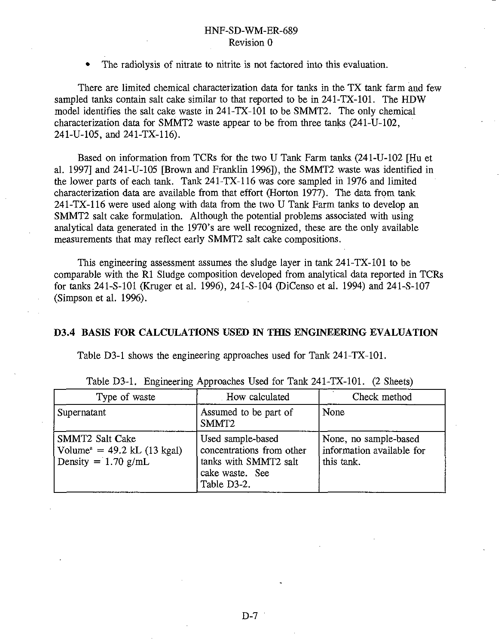The radiolysis of nitrate to nitrite is not factored into this evaluation.

There are limited chemical characterization data for tanks in the TX tank farm and few sampled tanks contain salt cake similar to that reported to be in 241-TX-101. The HDW model identifies the salt cake waste in 241-TX-101 to be SMMT2. The only chemical characterization data for SMMT2 waste appear to be from three tanks (241-U-102, 241-U-105, and 241-TX-116).

Based on information from TCRs for the two U Tank Farm tanks. (241-U-102 [Hu et al. 1997] and 241-U-105 [Brown and Franklin 1996]), the SMMT2 waste was identified in the lower parts of each tank. Tank 241-TX-l 16 was core sampled in 1976 and limited characterization data are available from that effort (Horton 1977). The data from tank 241-TX-l 16 were used along with data from the two U Tank Farm tanks to develop an SMMT2 salt cake formulation. Although the potential problems associated with using analytical data generated in the 1970's are well recognized, these are the only available measurements that may reflect early SMMT2 salt cake compositions.

This engineering assessment assumes the sludge layer in tank 241-TX-101 to be comparable with the Rl Sludge composition developed from analytical data reported in TCRs for tanks 241-S-101 (Kruger et al. 1996), 241-S-104 (DiCenso et al. 1994) and 241-S-107 (Simpson et al. 1996).

#### **D3.4 BASIS FOR CALCULATIONS USED IN THIS ENGINEERING EVALUATION**

Table D3-1 shows the engineering approaches used for Tank 241-TX-101.

| Type of waste                                                                                    | How calculated                                                                                            | Check method                                                     |
|--------------------------------------------------------------------------------------------------|-----------------------------------------------------------------------------------------------------------|------------------------------------------------------------------|
| Supernatant                                                                                      | Assumed to be part of<br>SMMT <sub>2</sub>                                                                | None                                                             |
| SMMT2 Salt Cake<br>Volume <sup><math>a</math></sup> = 49.2 kL (13 kgal)<br>Density = $1.70$ g/mL | Used sample-based<br>concentrations from other<br>tanks with SMMT2 salt<br>cake waste. See<br>Table D3-2. | None, no sample-based<br>information available for<br>this tank. |

|  | Table D3-1. Engineering Approaches Used for Tank 241-TX-101. (2 Sheets) |  |  |  |  |  |
|--|-------------------------------------------------------------------------|--|--|--|--|--|
|--|-------------------------------------------------------------------------|--|--|--|--|--|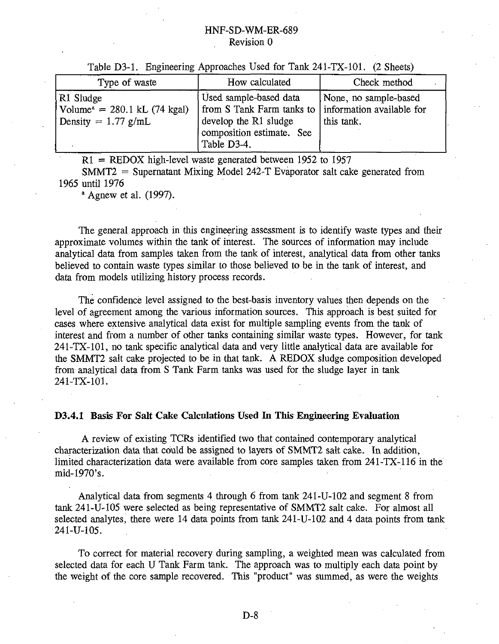| Type of waste                                                                                | How calculated                                                                                                                                       | Check method                        |
|----------------------------------------------------------------------------------------------|------------------------------------------------------------------------------------------------------------------------------------------------------|-------------------------------------|
| R1 Sludge<br>$\text{Volume}^* = 280.1 \text{ kL} (74 \text{ kgal})$<br>Density = $1.77$ g/mL | Used sample-based data<br>from S Tank Farm tanks to   information available for<br>develop the R1 sludge<br>composition estimate. See<br>Table D3-4. | None, no sample-based<br>this tank. |

Table D3-1. Engineering Approaches Used for Tank 241-TX-101. (2 Sheets)

 $R1 =$  REDOX high-level waste generated between 1952 to 1957

 $SMMT2 = Supernatant Mixing Model 242-T Evaporator salt cake generated from$ 1965 until 1976

a Agnew et al. (1997).

The general approach in this engineering assessment is to identify waste types and their approximate volumes within the tank of interest. The sources of information may include analytical data from samples taken from the tank of interest, analytical data from other tanks believed to contain waste types similar to those believed to be in the tank of interest, and data from models utilizing history process records.

The confidence level assigned to the best-basis inventory values then depends on the level of agreement among the various information sources. This approach is best suited for cases where extensive analytical data exist for multiple sampling events from the tank of interest and from a number of other tanks containing similar waste types. However, for tank 241-TX-101, no tank specific analytical data and very little analytical data are available for the SMMT2 salt cake projected to be in that tank. A REDOX sludge composition developed from analytical data from S Tank Farm tanks was used for the sludge layer in tank 241-TX-101.

#### **D3.4.1 Basis For Salt Cake Calculations Used In This Engineering Evaluation**

A review of existing TCRs identified two that contained contemporary analytical characterization data that could be assigned to layers of SMMT2 salt cake. In addition, limited characterization data were available from core samples taken from 241-TX-116 in the mid-1970's.

Analytical data from segments 4 through 6 from tank 241-U-102 and segment 8 from tank 241-U-105 were selected as being representative of SMMT2 salt cake. For almost all selected analytes, there were 14 data points from tank 241-U-102 and 4 data points from tank 241-U-105.

To correct for material recovery during sampling, a weighted mean was calculated from selected data for each U Tank Farm tank. The approach was to multiply each data point by the weight of the core sample recovered. This "product" was summed, as were the weights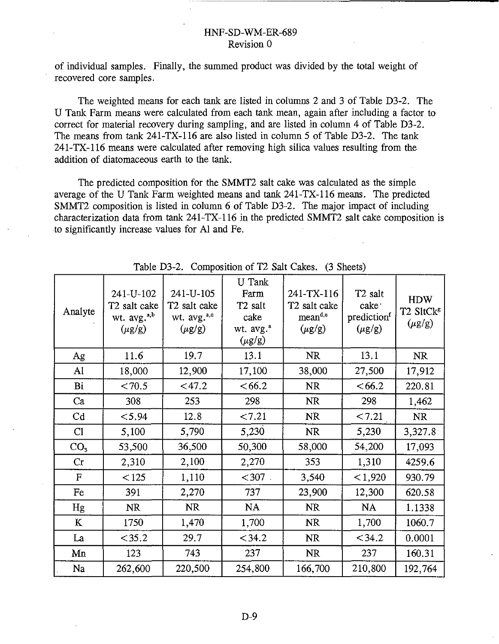of individual samples. Finally, the summed product was divided by the total weight of recovered core samples.

The weighted means for each tank are listed in columns 2 and 3 of Table D3-2. The U Tank Farm means were calculated from each tank mean, again after including a factor to correct for material recovery during sampling, and are listed in column 4 of Table D3-2. The means from tank 241-TX-116 are also listed in column 5 of Table D3-2. The tank 241-TX-116 means were calculated after removing high silica values resulting from the addition of diatomaceous earth to the tank.

The predicted composition for the SMMT2 salt cake was calculated as the simple average of the U Tank Farm weighted means and tank 241-TX-l 16 means. The predicted SMMT2 composition is listed in column 6 of Table D3-2. The major impact of including characterization data from tank 241-TX-l 16 in the predicted SMMT2 salt cake composition is to significantly increase values for Al and Fe.

| Analyte         | 241-U-102<br>T2 salt cake<br>wt. $avg.^{a,b}$<br>$(\mu g/g)$ | 241-U-105<br>T <sub>2</sub> salt cake<br>wt. avg. <sup>a,c</sup><br>$(\mu g/g)$ | U Tank<br>Farm<br>T <sub>2</sub> salt<br>cake<br>wt. avg. <sup>a</sup><br>$(\mu g/g)$ | 241-TX-116<br>T <sub>2</sub> salt cake<br>mean <sup>d,e</sup><br>$(\mu g/g)$ | T <sub>2</sub> salt<br>cake <sup>-</sup><br>prediction<br>$(\mu g/g)$ | <b>HDW</b><br>T2 SItCk <sup>g</sup><br>$(\mu g/g)$ |
|-----------------|--------------------------------------------------------------|---------------------------------------------------------------------------------|---------------------------------------------------------------------------------------|------------------------------------------------------------------------------|-----------------------------------------------------------------------|----------------------------------------------------|
| Ag              | 11.6                                                         | 19.7                                                                            | 13.1                                                                                  | NR.                                                                          | 13.1                                                                  | NR                                                 |
| Al              | 18,000                                                       | 12,900                                                                          | 17,100                                                                                | 38,000                                                                       | 27,500                                                                | 17,912                                             |
| Bi              | < 70.5                                                       | < 47.2                                                                          | <66.2                                                                                 | NR.                                                                          | <66.2                                                                 | 220.81                                             |
| Ca              | 308                                                          | 253                                                                             | 298                                                                                   | NR.                                                                          | 298                                                                   | 1,462                                              |
| C <sub>d</sub>  | < 5.94                                                       | 12.8                                                                            | < 7.21                                                                                | NR                                                                           | < 7.21                                                                | NR.                                                |
| Cl              | 5,100                                                        | 5,790                                                                           | 5,230                                                                                 | NR.                                                                          | 5,230                                                                 | 3,327.8                                            |
| CO <sub>3</sub> | 53,500                                                       | 36,500                                                                          | 50,300                                                                                | 58,000                                                                       | 54,200                                                                | 17,093                                             |
| Cr              | 2,310                                                        | 2,100                                                                           | 2,270                                                                                 | 353                                                                          | 1,310                                                                 | 4259.6                                             |
| F               | < 125                                                        | 1,110                                                                           | $307$ .                                                                               | 3,540                                                                        | < 1,920                                                               | 930.79                                             |
| Fe              | 391                                                          | 2,270                                                                           | 737                                                                                   | 23,900                                                                       | 12,300                                                                | 620.58                                             |
| Hg              | NR                                                           | NR                                                                              | NA                                                                                    | NR.                                                                          | NA                                                                    | 1.1338                                             |
| K               | 1750                                                         | 1,470                                                                           | 1,700                                                                                 | NR                                                                           | 1,700                                                                 | 1060.7                                             |
| La              | < 35.2                                                       | 29.7                                                                            | < 34.2                                                                                | NR                                                                           | < 34.2                                                                | 0.0001                                             |
| Mn              | 123                                                          | 743                                                                             | 237                                                                                   | NR                                                                           | 237                                                                   | 160.31                                             |
| Na              | 262,600                                                      | 220,500                                                                         | 254,800                                                                               | 166,700                                                                      | 210,800                                                               | 192,764                                            |

Table D3-2. Composition of T2 Salt Cakes. (3 Sheets)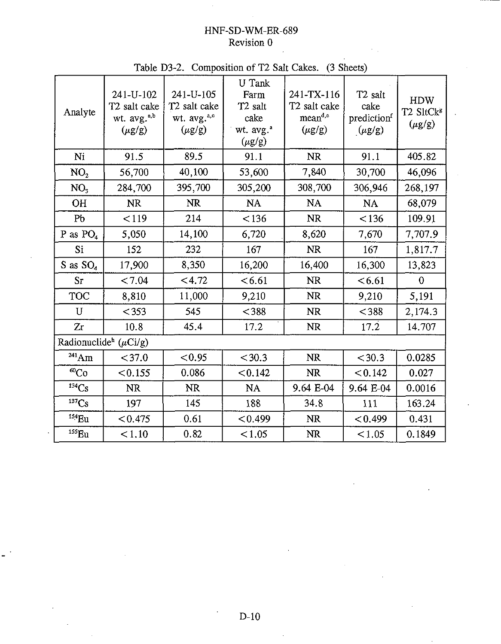| Analyte                                 | 241-U-102<br>T <sub>2</sub> salt cake<br>wt. avg. <sup>a,b</sup><br>$(\mu g/g)$ | 241-U-105<br>T <sub>2</sub> salt cake<br>wt. avg. <sup>a,c</sup><br>$(\mu g/g)$ | U Tank<br>Farm<br>T <sub>2</sub> salt<br>cake<br>wt. avg. <sup>a</sup><br>$(\mu$ g/g) | 241-TX-116<br>T <sub>2</sub> salt cake<br>mean <sup>d,e</sup><br>$(\mu g/g)$ | T <sub>2</sub> salt<br>cake<br>prediction<br>$(\mu g/g)$ | <b>HDW</b><br>T2 SltCk <sup>g</sup><br>$(\mu g/g)$ |
|-----------------------------------------|---------------------------------------------------------------------------------|---------------------------------------------------------------------------------|---------------------------------------------------------------------------------------|------------------------------------------------------------------------------|----------------------------------------------------------|----------------------------------------------------|
|                                         |                                                                                 | 89.5                                                                            |                                                                                       |                                                                              |                                                          |                                                    |
| Ni                                      | 91.5                                                                            |                                                                                 | 91.1                                                                                  | <b>NR</b>                                                                    | 91.1                                                     | 405.82                                             |
| NO <sub>2</sub>                         | 56,700                                                                          | 40,100                                                                          | 53,600                                                                                | 7,840                                                                        | 30,700                                                   | 46,096                                             |
| NO <sub>3</sub>                         | 284,700                                                                         | 395,700                                                                         | 305,200                                                                               | 308,700                                                                      | 306,946                                                  | 268,197                                            |
| <b>OH</b>                               | <b>NR</b>                                                                       | NR.                                                                             | NA                                                                                    | NA                                                                           | NA                                                       | 68,079                                             |
| Pb                                      | < 119                                                                           | 214                                                                             | < 136                                                                                 | NR.                                                                          | < 136                                                    | 109.91                                             |
| P as $PO4$                              | 5,050                                                                           | 14,100                                                                          | 6,720                                                                                 | 8,620                                                                        | 7,670                                                    | 7,707.9                                            |
| Si                                      | 152                                                                             | 232                                                                             | 167                                                                                   | NR.                                                                          | 167                                                      | 1,817.7                                            |
| S as $SO4$                              | 17,900                                                                          | 8,350                                                                           | 16,200                                                                                | 16,400                                                                       | 16,300                                                   | 13,823                                             |
| Sr                                      | < 7.04                                                                          | $<$ 4.72                                                                        | < 6.61                                                                                | NR                                                                           | <6.61                                                    | $\theta$                                           |
| TOC                                     | 8,810                                                                           | 11,000                                                                          | 9,210                                                                                 | <b>NR</b>                                                                    | 9,210                                                    | 5,191                                              |
| U                                       | < 353                                                                           | 545                                                                             | < 388                                                                                 | <b>NR</b>                                                                    | $<$ 388                                                  | 2,174.3                                            |
| Zr                                      | 10.8                                                                            | 45.4                                                                            | 17.2                                                                                  | <b>NR</b>                                                                    | 17.2                                                     | 14.707                                             |
| Radionuclide <sup>h</sup> ( $\mu$ Ci/g) |                                                                                 |                                                                                 |                                                                                       |                                                                              |                                                          |                                                    |
| $^{241}Am$                              | < 37.0                                                                          | < 0.95                                                                          | < 30.3                                                                                | <b>NR</b>                                                                    | < 30.3                                                   | 0.0285                                             |
| ${}^{60}Co$                             | < 0.155                                                                         | 0.086                                                                           | < 0.142                                                                               | NR.                                                                          | < 0.142                                                  | 0.027                                              |
| 134Cs                                   | <b>NR</b>                                                                       | <b>NR</b>                                                                       | NA                                                                                    | 9.64 E-04                                                                    | 9.64 E-04                                                | 0.0016                                             |
| $^{137}\mathrm{Cs}$                     | 197                                                                             | 145                                                                             | 188                                                                                   | 34.8                                                                         | 111                                                      | 163.24                                             |
| $154$ Eu                                | < 0.475                                                                         | 0.61                                                                            | < 0.499                                                                               | NR.                                                                          | < 0.499                                                  | 0.431                                              |
| $^{155}\mathrm{Eu}$                     | < 1.10                                                                          | 0.82                                                                            | < 1.05                                                                                | NR.                                                                          | < 1.05                                                   | 0.1849                                             |

Table D3-2. Composition of T2 Salt Cakes. (3 Sheets)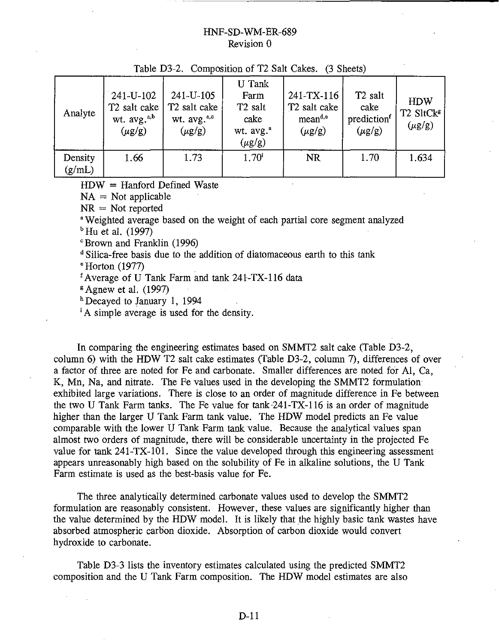| Analyte           | 241-U-102<br>T <sub>2</sub> salt cake<br>wt. $avg.^{a,b}$<br>$(\mu g/g)$ | $241 - U - 105$<br>T <sub>2</sub> salt cake<br>wt. avg. <sup>a,c</sup><br>$(\mu g/g)$ | U Tank<br>Farm<br>T <sub>2</sub> salt<br>cake<br>wt. avg. <sup>a</sup><br>$(\mu g/g)$ | 241-TX-116<br>T2 salt cake<br>mean <sup>d,e</sup><br>$(\mu g/g)$ | T <sub>2</sub> salt<br>cake<br>prediction<br>$(\mu$ g/g) | <b>HDW</b><br>T2 SltCk <sup>8</sup><br>$(\mu g/g)$ |
|-------------------|--------------------------------------------------------------------------|---------------------------------------------------------------------------------------|---------------------------------------------------------------------------------------|------------------------------------------------------------------|----------------------------------------------------------|----------------------------------------------------|
| Density<br>(g/mL) | 1.66                                                                     | 1.73                                                                                  | $1.70^{i}$                                                                            | <b>NR</b>                                                        | 1.70                                                     | 1.634                                              |

Table D3-2. Composition of T2 Salt Cakes. (3 Sheets)

 $HDW =$  Hanford Defined Waste

 $NA = Not applicable$ 

 $NR = Not$  reported

"Weighted average based on the weight of each partial core segment analyzed

 $b$  Hu et al. (1997)

*°* Brown and Franklin (1996)

<sup>d</sup> Silica-free basis due to the addition of diatomaceous earth to this tank

 $e$ Horton (1977)

f Average of U Tank Farm and tank 241-TX-116 data

 $s$  Agnew et al. (1997)

h Decayed to January 1, 1994

'A simple average is used for the density.

In comparing the engineering estimates based on SMMT2 salt cake (Table D3-2, column 6) with the HDW T2 salt cake estimates (Table D3-2, column 7), differences of over a factor of three are noted for Fe and carbonate. Smaller differences are noted for Al, Ca, K, Mn, Na, and nitrate. The Fe values used in the developing the SMMT2 formulation exhibited large variations. There is close to an order of magnitude difference in Fe between the two U Tank Farm tanks. The Fe value for tank-241-TX-116 is an order of magnitude higher than the larger U Tank Farm tank value. The HDW model predicts an Fe value comparable with the lower U Tank Farm tank value. Because the analytical values span almost two orders of magnitude, there will be considerable uncertainty in the projected Fe value for tank 241-TX-101. Since the value developed through this engineering assessment appears unreasonably high based on the solubility of Fe in alkaline solutions, the U Tank Farm estimate is used as the best-basis value for Fe.

The three analytically determined carbonate values used to develop the SMMT2 formulation are reasonably consistent. However, these values are significantly higher than the value determined by the HDW model. It is likely that the highly basic tank wastes have absorbed atmospheric carbon dioxide. Absorption of carbon dioxide would convert hydroxide to carbonate.

Table D3-3 lists the inventory estimates calculated using the predicted SMMT2 composition and the U Tank Farm composition. The HDW model estimates are also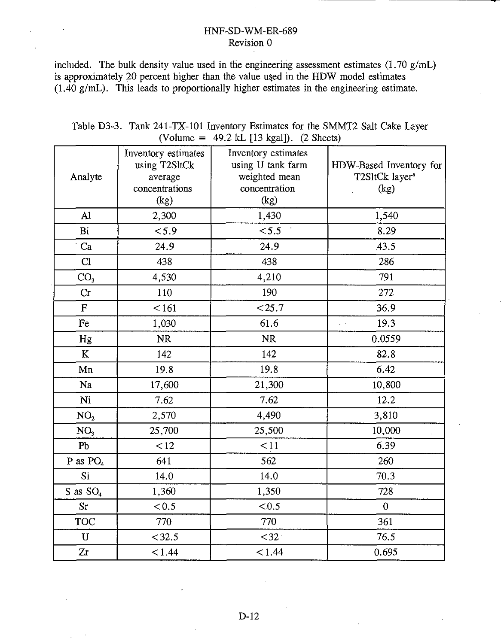included. The bulk density value used in the engineering assessment estimates (1.70 g/mL) is approximately 20 percent higher than the value used in the HDW model estimates (1.40 g/mL). This leads to proportionally higher estimates in the engineering estimate.

| Analyte         | Inventory estimates<br>using T2SltCk<br>average | Inventory estimates<br>using U tank farm<br>weighted mean | HDW-Based Inventory for<br>T2SltCk layer <sup>a</sup> |
|-----------------|-------------------------------------------------|-----------------------------------------------------------|-------------------------------------------------------|
|                 | concentrations<br>(kg)                          | concentration<br>(kg)                                     | (kg)                                                  |
| Al              | 2,300                                           | 1,430                                                     | 1,540                                                 |
| Bi              | < 5.9                                           | < 5.5                                                     | 8.29                                                  |
| Ca              | 24.9                                            | 24.9                                                      | 43.5                                                  |
| C1              | 438                                             | 438                                                       | 286                                                   |
| CO <sub>3</sub> | 4,530                                           | 4,210                                                     | 791                                                   |
| Cr              | 110                                             | 190                                                       | 272                                                   |
| F               | < 161                                           | < 25.7                                                    | 36.9                                                  |
| Fe              | 1,030                                           | 61.6                                                      | 19.3<br>gi s                                          |
| Hg              | <b>NR</b>                                       | <b>NR</b>                                                 | 0.0559                                                |
| K               | 142                                             | 142                                                       | 82.8                                                  |
| Mn              | 19.8                                            | 19.8                                                      | 6.42                                                  |
| Na              | 17,600                                          | 21,300                                                    | 10,800                                                |
| Ni              | 7.62                                            | 7.62                                                      | 12.2                                                  |
| NO <sub>2</sub> | 2,570                                           | 4,490                                                     | 3,810                                                 |
| NO <sub>3</sub> | 25,700                                          | 25,500                                                    | 10,000                                                |
| P <sub>b</sub>  | < 12                                            | < 11                                                      | 6.39                                                  |
| P as $PO4$      | 641                                             | 562                                                       | 260                                                   |
| Si              | 14.0                                            | 14.0                                                      | 70.3                                                  |
| $S$ as $SO_4$   | 1,360                                           | 1,350                                                     | 728                                                   |
| Sr              | < 0.5                                           | < 0.5                                                     | $\theta$                                              |
| <b>TOC</b>      | 770                                             | 770                                                       | 361                                                   |
| U               | < 32.5                                          | $<$ 32                                                    | 76.5                                                  |
| Zr              | < 1.44                                          | < 1.44                                                    | 0.695                                                 |

Table D3-3 . Tank 241-TX-101 Inventory Estimates for the SMMT2 Salt Cake Layer (Volume =  $49.2$  kL [13 kgal]). (2 Sheets)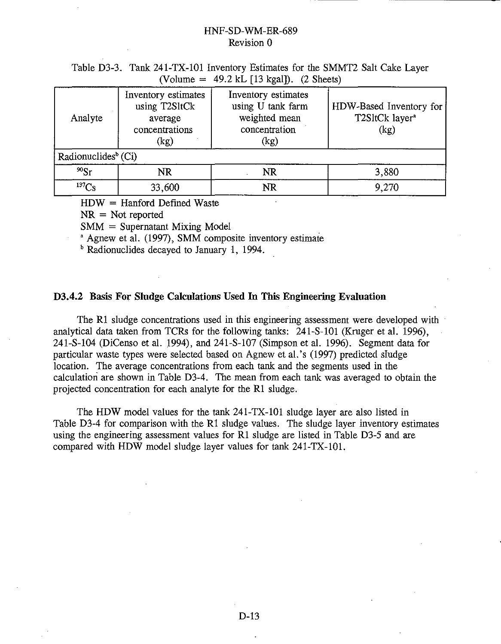|  | Table D3-3. Tank 241-TX-101 Inventory Estimates for the SMMT2 Salt Cake Layer |  |
|--|-------------------------------------------------------------------------------|--|
|  | (Volume $= 49.2$ kL [13 kgal]). (2 Sheets)                                    |  |

| Analyte                         | Inventory estimates<br>using T2SltCk<br>average<br>concentrations<br>(kg) | Inventory estimates<br>using U tank farm<br>weighted mean<br>concentration<br>(kg) | HDW-Based Inventory for<br>T2SltCk layer <sup>a</sup><br>(kg) |
|---------------------------------|---------------------------------------------------------------------------|------------------------------------------------------------------------------------|---------------------------------------------------------------|
| Radionuclides <sup>b</sup> (Ci) |                                                                           |                                                                                    |                                                               |
| $^{90}$ Sr                      | NR                                                                        | NR                                                                                 | 3,880                                                         |
| $^{137}Cs$                      | 33,600                                                                    | NR                                                                                 | 9,270                                                         |

HDW = Hanford Defined Waste

NR = Not reported

 $SMM = Supernatant Mixing Model$ 

\* Agnew et al. (1997), SMM composite inventory estimate

**b** Radionuclides decayed to January 1, 1994.

#### **D3.4.2 Basis For Sludge Calculations Used In This Engineering Evaluation**

The Rl sludge concentrations used in this engineering assessment were developed with analytical data taken from TCRs for the following tanks: 241-S-101 (Kruger et al. 1996), 241-S-104 (DiCenso et al. 1994), and 241-S-107 (Simpson et al. 1996). Segment data for particular waste types were selected based on Agnew et al.'s (1997) predicted sludge location. The average concentrations from each tank and the segments used in the calculation are shown in Table D3-4. The mean from each tank was averaged to obtain the projected concentration for each analyte for the Rl sludge.

The HDW model values for the tank 241-TX-101 sludge layer are also listed in Table D3-4 for comparison with the R1 sludge values. The sludge layer inventory estimates using the engineering assessment values for Rl sludge are listed in Table D3-5 and are compared with HDW model sludge layer values for tank 241-TX-101.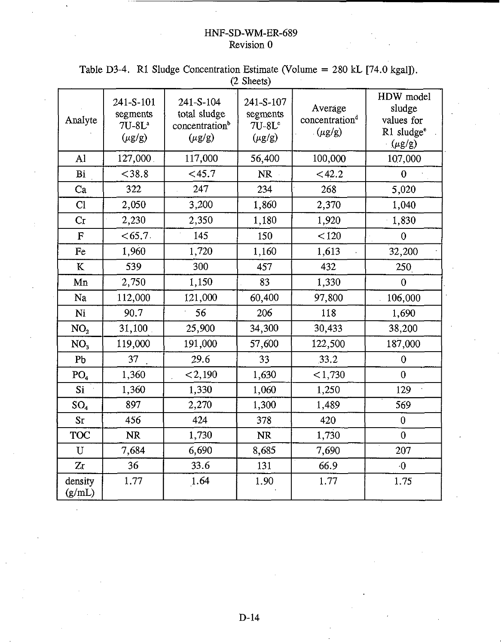| Analyte           | 241-S-101<br>segments<br>7U-8L <sup>*</sup><br>$(\mu g/g)$ | 241-S-104<br>total sludge<br>concentration <sup>b</sup><br>$(\mu g/g)$ | 241-S-107<br>segments<br>$7U-8Lc$<br>$(\mu g/g)$ | Average<br>concentration <sup>d</sup><br>$(\mu g/g)$ | HDW model<br>sludge<br>values for<br>R1 sludge <sup>e</sup><br>$(\mu g/g)$ |
|-------------------|------------------------------------------------------------|------------------------------------------------------------------------|--------------------------------------------------|------------------------------------------------------|----------------------------------------------------------------------------|
| Al                | 127,000.                                                   | 117,000                                                                | 56,400                                           | 100,000                                              | 107,000                                                                    |
| Bi                | < 38.8                                                     | $<$ 45.7                                                               | NR.                                              | < 42.2                                               | $\mathbf{0}$                                                               |
| Ca                | 322                                                        | 247                                                                    | 234                                              | 268                                                  | 5,020                                                                      |
| Cl                | 2,050                                                      | 3,200                                                                  | 1,860                                            | 2,370                                                | 1,040                                                                      |
| $C_{I}$           | 2,230                                                      | 2,350                                                                  | 1,180                                            | 1,920                                                | 1,830                                                                      |
| F                 | < 65.7                                                     | 145                                                                    | 150                                              | < 120                                                | $\Omega$                                                                   |
| Fe                | 1,960                                                      | 1,720                                                                  | 1,160                                            | 1,613                                                | 32,200                                                                     |
| K                 | 539                                                        | 300                                                                    | 457                                              | 432                                                  | 250                                                                        |
| Mn                | 2,750                                                      | 1,150                                                                  | 83                                               | 1,330                                                | $\Omega$                                                                   |
| Na                | 112,000                                                    | 121,000                                                                | 60,400                                           | 97,800                                               | 106,000                                                                    |
| Ni                | 90.7                                                       | 56                                                                     | 206                                              | 118                                                  | 1,690                                                                      |
| NO <sub>2</sub>   | 31,100                                                     | 25,900                                                                 | 34,300                                           | 30,433                                               | 38,200                                                                     |
| NO <sub>3</sub>   | 119,000                                                    | 191,000                                                                | 57,600                                           | 122,500                                              | 187,000                                                                    |
| Pb                | 37                                                         | 29.6                                                                   | 33                                               | 33.2                                                 | 0                                                                          |
| PO <sub>4</sub>   | 1,360                                                      | < 2,190                                                                | 1,630                                            | < 1,730                                              | $\theta$                                                                   |
| Si                | 1,360                                                      | 1,330                                                                  | 1,060                                            | 1,250                                                | 129                                                                        |
| SO <sub>4</sub>   | 897                                                        | 2,270                                                                  | 1,300                                            | 1,489                                                | 569                                                                        |
| Sr                | 456                                                        | 424                                                                    | 378                                              | 420                                                  | $\theta$                                                                   |
| <b>TOC</b>        | <b>NR</b>                                                  | 1,730                                                                  | <b>NR</b>                                        | 1,730                                                | $\Omega$                                                                   |
| U                 | 7,684                                                      | 6,690                                                                  | 8,685                                            | 7,690                                                | 207                                                                        |
| Zr                | 36                                                         | 33.6                                                                   | 131                                              | 66.9                                                 | $\cdot 0$                                                                  |
| density<br>(g/mL) | 1.77                                                       | 1.64                                                                   | 1.90                                             | 1.77                                                 | 1.75                                                                       |

Table D3-4. Rl Sludge Concentration Estimate (Volume = 280 kL [74.0 kgal]). (2 Sheets)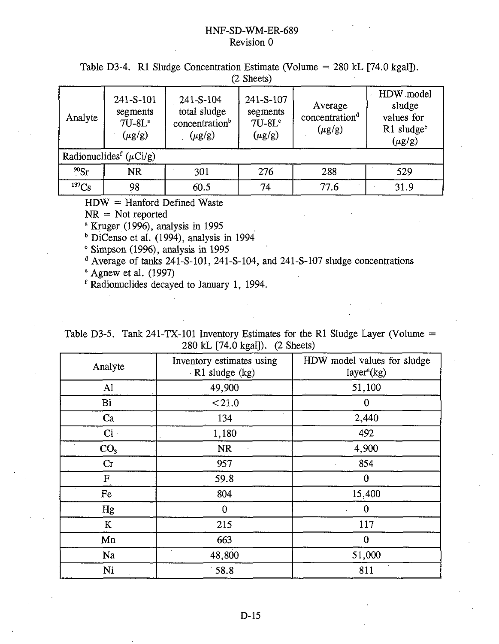| Table D3-4. R1 Sludge Concentration Estimate (Volume $= 280$ kL [74.0 kgal]). |                                        |  |
|-------------------------------------------------------------------------------|----------------------------------------|--|
|                                                                               | $\mathbf{m}$ $\mathbf{m}$ $\mathbf{m}$ |  |

| Analyte                                  | 241-S-101<br>segments<br>$7U-8La$<br>$(\mu g/g)$ | 241-S-104<br>total sludge<br>concentration <sup>b</sup><br>$(\mu g/g)$ | 241-S-107<br>segments<br>$7U-8Lc$<br>$(\mu g/g)$ | Average<br>concentration <sup>d</sup><br>$(\mu g/g)$ | HDW model<br>sludge<br>values for<br>$R1$ sludge <sup><math>e</math></sup><br>$(\mu g/g)$ |
|------------------------------------------|--------------------------------------------------|------------------------------------------------------------------------|--------------------------------------------------|------------------------------------------------------|-------------------------------------------------------------------------------------------|
| Radionuclides <sup>f</sup> ( $\mu$ Ci/g) |                                                  |                                                                        |                                                  |                                                      |                                                                                           |
| % <sub>sr</sub>                          | <b>NR</b>                                        | 301                                                                    | 276                                              | 288                                                  | 529                                                                                       |
| 137 <sub>Cs</sub>                        | 98                                               | 60.5                                                                   | 74                                               | 77.6                                                 | 31.9                                                                                      |

(2 Sheets)

HDW = Hanford Defined Waste

 $NR = Not$  reported

" Kruger (1996), analysis in 1995

b DiCenso et al. (1994), analysis in 1994

*°* Simpson (1996), analysis in 1995

<sup>d</sup> Average of tanks 241-S-101, 241-S-104, and 241-S-107 sludge concentrations

e Agnew et al. (1997)

f Radionuclides decayed to January 1, 1994.

Table D3-5. Tank 241-TX-101 Inventory Estimates for the R1 Sludge Layer (Volume  $=$ 280 kL [74.0 kgal]). (2 Sheets)

| Analyte         | Inventory estimates using<br>R1 sludge (kg) | HDW model values for sludge<br>layer <sup>a</sup> (kg) |
|-----------------|---------------------------------------------|--------------------------------------------------------|
| Al              | 49,900                                      | 51,100                                                 |
| Bi              | < 21.0                                      | 0                                                      |
| Ca              | 134                                         | 2,440                                                  |
| $\mathbf{C}$    | 1,180                                       | 492                                                    |
| CO <sub>3</sub> | <b>NR</b>                                   | 4,900                                                  |
| $\rm Cr$        | 957                                         | 854                                                    |
| F               | 59.8                                        | 0                                                      |
| Fe              | 804                                         | 15,400                                                 |
| Hg              | $\mathbf{0}$                                | 0                                                      |
| K               | 215                                         | 117                                                    |
| Mn              | 663                                         | 0                                                      |
| Na              | 48,800                                      | 51,000                                                 |
| Ni              | 58.8                                        | 811                                                    |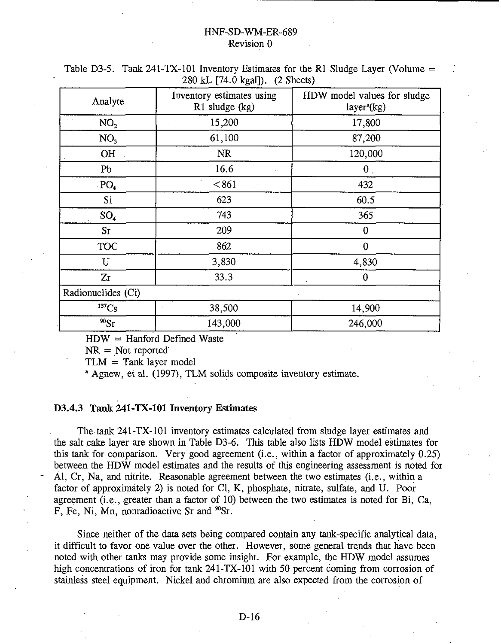| Analyte            | Inventory estimates using<br>R1 sludge (kg) | HDW model values for sludge<br>layer <sup>a</sup> (kg) |
|--------------------|---------------------------------------------|--------------------------------------------------------|
| NO <sub>2</sub>    | 15,200                                      | 17,800                                                 |
| NO <sub>3</sub>    | 61,100                                      | 87,200                                                 |
| OH                 | NR                                          | 120,000                                                |
| Pb                 | 16.6                                        | $\mathbf{0}$ .                                         |
| PO <sub>a</sub>    | < 861                                       | 432                                                    |
| Si                 | 623                                         | 60.5                                                   |
| SO <sub>4</sub>    | 743                                         | 365                                                    |
| $S_{T}$            | 209                                         | $\boldsymbol{0}$                                       |
| <b>TOC</b>         | 862                                         | $\Omega$                                               |
| U                  | 3,830                                       | 4,830                                                  |
| Zr                 | 33.3                                        | 0                                                      |
| Radionuclides (Ci) |                                             | ×                                                      |
| $137C_S$           | 38,500                                      | 14,900                                                 |
| $^{90}$ Sr         | 143,000                                     | 246,000                                                |

Table D3-5. Tank 241-TX-101 Inventory Estimates for the R1 Sludge Layer (Volume  $=$ 280 kL [74.0 kgal]). (2 Sheets)

 $HDW =$  Hanford Defined Waste

 $NR = Not$  reported

 $TLM = Tank$  layer model

a Agnew, et al. (1997), TLM solids composite inventory estimate.

#### **D3.4.3 Tank 241-TX-lOl Inventory Estimates**

The tank 241-TX-lOl inventory estimates calculated from sludge layer estimates and the salt cake layer are shown in Table D3-6. This table also lists HDW model estimates for this tank for comparison. Very good agreement (i.e., within a factor of approximately 0.25) between the HDW model estimates and the results of this engineering assessment is noted for Al, Cr, Na, and nitrite. Reasonable agreement between the two estimates (i.e., within a factor of approximately 2) is noted for Cl, K, phosphate, nitrate, sulfate, and U. Poor agreement (i.e., greater than a factor of 10) between the two estimates is noted for Bi, Ca, F, Fe, Ni, Mn, nonradioactive Sr and <sup>90</sup>Sr.

Since neither of the data sets being compared contain any tank-specific analytical data, it difficult to favor one value over the other. However, some general trends that have been noted with other tanks may provide some insight. For example, the HDW model assumes high concentrations of iron for tank 241-TX-101 with 50 percent coming from corrosion of stainless steel equipment. Nickel and chromium are also expected from the corrosion of

D-16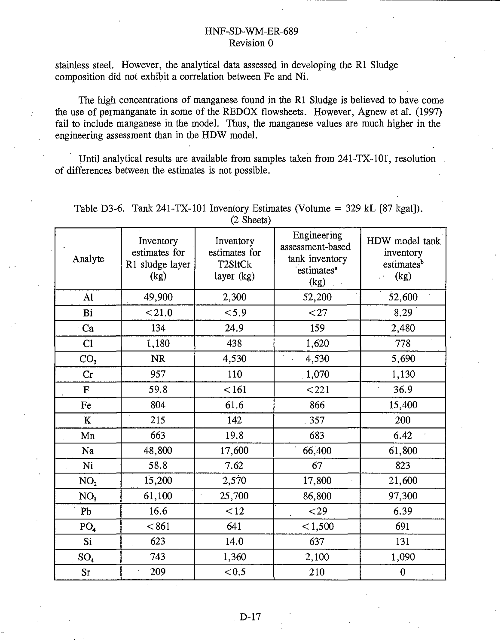stainless steel. However, the analytical data assessed in developing the Rl Sludge composition did not exhibit a correlation between Fe and Ni.

The high concentrations of manganese found in the Rl Sludge is believed to have come the use of permanganate in some of the REDOX flowsheets. However, Agnew et al. (1997) fail to include manganese in the model. Thus, the manganese values are much higher in the engineering assessment than in the HDW model.

Until analytical results are available from samples taken from 241-TX-lOl, resolution of differences between the estimates is not possible.

| Analyte         | Inventory<br>estimates for<br>R1 sludge layer<br>(kg) | Inventory<br>estimates for<br>T2SltCk<br>layer (kg) | Engineering<br>assessment-based<br>tank inventory<br>estimates <sup>a</sup><br>(kg) | HDW model tank<br>inventory<br>estimates <sup>b</sup><br>(kg) |
|-----------------|-------------------------------------------------------|-----------------------------------------------------|-------------------------------------------------------------------------------------|---------------------------------------------------------------|
| Al              | 49,900                                                | 2,300                                               | 52,200                                                                              | 52,600                                                        |
| Bi              | < 21.0                                                | < 5.9                                               | $27$                                                                                | 8.29                                                          |
| Ca              | 134                                                   | 24.9                                                | 159                                                                                 | 2,480                                                         |
| C1              | 1,180                                                 | 438                                                 | 1,620                                                                               | 778                                                           |
| CO <sub>3</sub> | NR                                                    | 4,530                                               | 4,530                                                                               | 5,690                                                         |
| Cr              | 957                                                   | 110                                                 | 1,070                                                                               | 1,130                                                         |
| $\mathbf F$     | 59.8                                                  | < 161                                               | < 221                                                                               | 36.9                                                          |
| Fe              | 804                                                   | 61.6                                                | 866                                                                                 | 15,400                                                        |
| K               | 215                                                   | 142                                                 | .357                                                                                | 200                                                           |
| Mn              | 663                                                   | 19.8                                                | 683                                                                                 | 6.42                                                          |
| Na              | 48,800                                                | 17,600                                              | 66,400                                                                              | 61,800                                                        |
| Ni              | 58.8                                                  | 7.62                                                | 67                                                                                  | 823                                                           |
| NO <sub>2</sub> | 15,200                                                | 2,570                                               | 17,800                                                                              | 21,600                                                        |
| NO <sub>3</sub> | 61,100                                                | 25,700                                              | 86,800                                                                              | 97,300                                                        |
| Pb              | 16.6                                                  | < 12                                                | $29$                                                                                | 6.39                                                          |
| PO <sub>4</sub> | < 861                                                 | 641                                                 | < 1,500                                                                             | 691                                                           |
| Si              | 623                                                   | 14.0                                                | 637                                                                                 | 131                                                           |
| $SO_4$          | 743                                                   | 1,360                                               | 2,100                                                                               | 1,090                                                         |
| Sr              | 209                                                   | < 0.5                                               | 210                                                                                 | 0                                                             |

Table D3-6 . Tank 241-TX-lOl Inventory Estimates (Volume = 329 kL [87 kgal]).

(2 Sheets)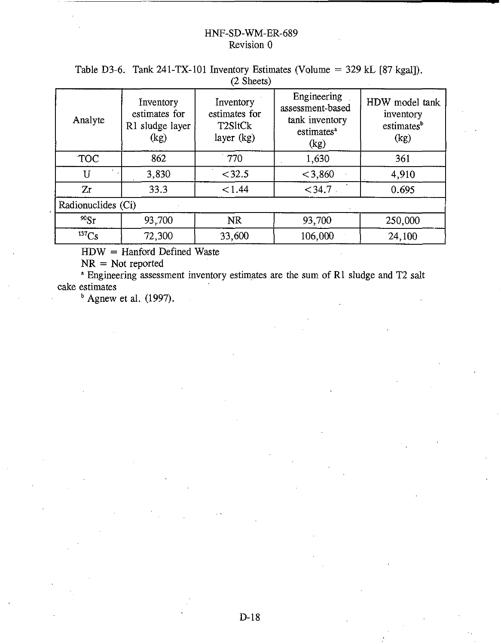| Analyte            | Inventory<br>estimates for<br>R1 sludge layer<br>(kg) | Inventory<br>estimates for<br>T <sub>2</sub> SltCk<br>layer (kg) | Engineering<br>assessment-based<br>tank inventory<br>estimates <sup>a</sup><br>(kg) | HDW model tank<br>inventory<br>estimates <sup>b</sup><br>(kg) |  |
|--------------------|-------------------------------------------------------|------------------------------------------------------------------|-------------------------------------------------------------------------------------|---------------------------------------------------------------|--|
| <b>TOC</b>         | 862                                                   | 770                                                              | 1,630                                                                               | 361                                                           |  |
| U                  | 3,830                                                 | < 32.5                                                           | < 3,860                                                                             | 4,910                                                         |  |
| Zr                 | 33.3                                                  | < 1.44                                                           | < 34.7                                                                              | 0.695                                                         |  |
| Radionuclides (Ci) |                                                       |                                                                  |                                                                                     |                                                               |  |
| 90 <sub>ST</sub>   | 93,700                                                | NR                                                               | 93,700                                                                              | 250,000                                                       |  |
| 137Cs              | 72,300                                                | 33,600                                                           | 106,000                                                                             | 24,100                                                        |  |

Table D3-6. Tank 241-TX-101 Inventory Estimates (Volume = 329 kL [87 kgal]). (2 Sheets)

HDW = Hanford Defined Waste

 $NR = Not$  reported

<sup>a</sup> Engineering assessment inventory estimates are the sum of R1 sludge and T2 salt cake estimates

 $<sup>b</sup>$  Agnew et al. (1997).</sup>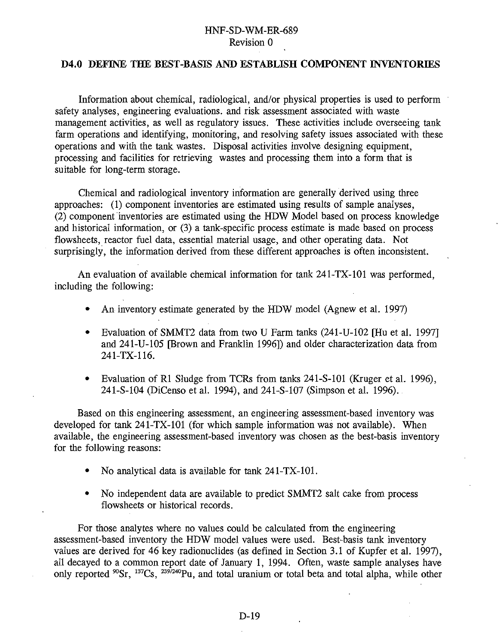## **D4.0 DEFINE THE BEST-BASIS AND ESTABLISH COMPONENT INVENTORIES**

Information about chemical, radiological, and/or physical properties is used to perform safety analyses, engineering evaluations, and risk assessment associated with waste management activities, as well as regulatory issues. These activities include overseeing tank farm operations and identifying, monitoring, and resolving safety issues associated with these operations and with the tank wastes. Disposal activities involve designing equipment, processing and facilities for retrieving wastes and processing them into a form that is suitable for long-term storage.

Chemical and radiological inventory information are generally derived using three approaches: (1) component inventories are estimated using results of sample analyses, (2) component inventories are estimated using the HDW Model based on process knowledge and historical information, or (3) a tank-specific process estimate is made based on process flowsheets, reactor fuel data, essential material usage, and other operating data. Not surprisingly, the information derived from these different approaches is often inconsistent.

An evaluation of available chemical information for tank 241-TX-101 was performed, including the following:

- An inventory estimate generated by the HDW model (Agnew et al. 1997)
- Evaluation of SMMT2 data from two U Farm tanks (241-U-102 [Hu et al. 1997] and 241-U-105 [Brown and Franklin 1996]) and older characterization data from 241-TX-116.
- Evaluation of R1 Sludge from TCRs from tanks 241-S-101 (Kruger et al. 1996), 241-S-104 (DiCenso et al. 1994), and 241-S-107 (Simpson et al. 1996).

Based on this engineering assessment, an engineering assessment-based inventory was developed for tank 241-TX-101 (for which sample information was not available). When available, the engineering assessment-based inventory was chosen as the best-basis inventory for the following reasons:

- No analytical data is available for tank 241-TX-101.
- No independent data are available to predict SMMT2 salt cake from process flowsheets or historical records.

For those analytes where no values could be calculated from the engineering assessment-based inventory the HDW model values were used. Best-basis tank inventory values are derived for 46 key radionuclides (as defined in Section 3.1 of Kupfer et al. 1997), all decayed to a common report date of January 1, 1994. Often, waste sample analyses have only reported <sup>90</sup>Sr, <sup>137</sup>Cs, <sup>239/240</sup>Pu, and total uranium or total beta and total alpha, while other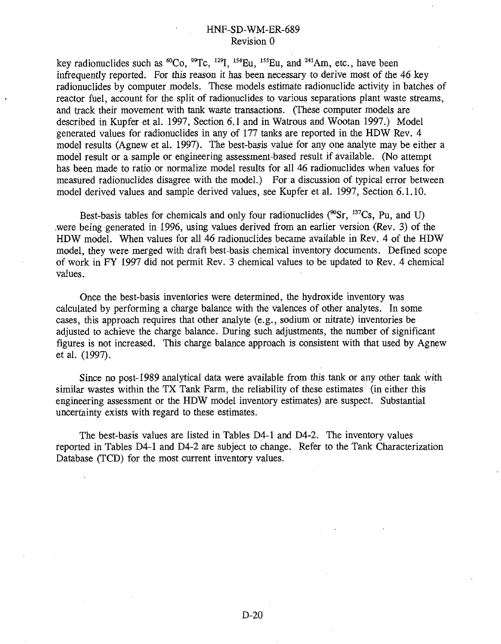key radionuclides such as <sup>60</sup>Co, <sup>99</sup>Tc, <sup>129</sup>I, <sup>154</sup>Eu, <sup>155</sup>Eu, and <sup>241</sup>Am, etc., have been infrequently reported. For this reason it has been necessary to derive most of the 46 key radionuclides by computer models. These models estimate radionuclide activity in batches of reactor fuel, account for the split of radionuclides to various separations plant waste streams, and track their movement with tank waste transactions. (These computer models are described in Kupfer et al. 1997, Section 6.1 and in Watrous and Wootan 1997.) Model generated values for radionuclides in any of 177 tanks are reported in the HDW Rev. 4 model results (Agnew et al. 1997). The best-basis value for any one analyte may be either a model result or a sample or engineering assessment-based result if available. (No attempt has been made to ratio or normalize model results for all 46 radionuclides when values for measured radionuclides disagree with the model.) For a discussion of typical error between model derived values and sample derived values, see Kupfer et al. 1997, Section 6.1.10.

Best-basis tables for chemicals and only four radionuclides  $(^{90}Sr, <sup>137</sup>Cs, Pu, and U)$ .were being generated in 1996, using values derived from an earlier version (Rev. 3) of the HDW model. When values for all 46 radionuclides became available in Rev. 4 of the HDW model, they were merged with draft best-basis chemical inventory documents. Defined scope of work in FY 1997 did not permit Rev. 3 chemical values to be updated to Rev. 4 chemical values.

Once the best-basis inventories were determined, the hydroxide inventory was calculated by performing a charge balance with the valences of other analytes. In some cases, this approach requires that other analyte (e.g., sodium or nitrate) inventories be adjusted to achieve the charge balance. During such adjustments, the number of significant figures is not increased. This charge balance approach is consistent with that used by Agnew et al. (1997).

Since no post-1989 analytical data were available from this tank or any other tank with similar wastes within the TX Tank Farm, the reliability of these estimates (in either this engineering assessment or the HDW model inventory estimates) are suspect. Substantial uncertainty exists with regard to these estimates.

The best-basis values are listed in Tables D4-1 and D4-2. The inventory values reported in Tables D4-1 and D4-2 are subject to change. Refer to the Tank Characterization Database (TCD) for the most current inventory values.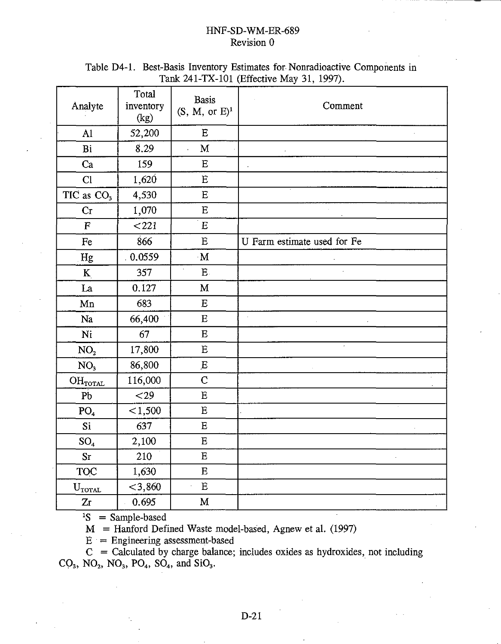| Analyte                | Total<br>inventory<br>(kg) | <b>Basis</b><br>$(S, M, or E)^1$ | Comment                     |
|------------------------|----------------------------|----------------------------------|-----------------------------|
| Al                     | 52,200                     | E                                | J.                          |
| Bi                     | 8.29                       | M<br>ä,                          |                             |
| Ca                     | 159                        | E                                | $\epsilon$                  |
| C1                     | 1,620                      | Ë                                |                             |
| TIC as CO <sub>3</sub> | 4,530                      | E                                |                             |
| Cr                     | 1,070                      | E                                |                             |
| $\overline{F}$         | < 221                      | E                                |                             |
| Fe                     | 866                        | E                                | U Farm estimate used for Fe |
| Hg                     | 0.0559                     | M                                |                             |
| $\bf K$                | 357                        | $\epsilon$<br>E                  |                             |
| La                     | 0.127                      | M                                |                             |
| Mn                     | 683                        | E                                |                             |
| Na                     | 66,400                     | E                                | $\mathcal{L}$               |
| N <sub>i</sub>         | 67                         | E                                |                             |
| NO <sub>2</sub>        | 17,800                     | E                                |                             |
| NO <sub>3</sub>        | 86,800                     | Е                                |                             |
| $OH_{\text{TOIAL}}$    | 116,000                    | $\mathbf C$                      |                             |
| Pb                     | $29$                       | E                                |                             |
| PO <sub>4</sub>        | < 1,500                    | E                                |                             |
| Si                     | 637                        | E                                |                             |
| SO <sub>4</sub>        | 2,100                      | $\mathbf E$                      |                             |
| <b>Sr</b>              | 210                        | $\mathbf E$                      |                             |
| <b>TOC</b>             | 1,630                      | $\overline{E}$                   |                             |
| $U_{\text{tot}}$       | $<$ 3,860                  | E                                |                             |
| Zr                     | 0.695                      | $\mathbf M$                      |                             |

## Table D4-1 . Best-Basis Inventory Estimates for Nonradioactive Components in Tank 241-TX-101 (Effective May 31, 1997).

 $^1S =$  Sample-based

M = Hanford Defined Waste model-based, Agnew et al. (1997)

 $E =$  Engineering assessment-based

 $C =$  Calculated by charge balance; includes oxides as hydroxides, not including  $CO_3$ ,  $NO_2$ ,  $NO_3$ ,  $PO_4$ ,  $SO_4$ , and  $SiO_3$ .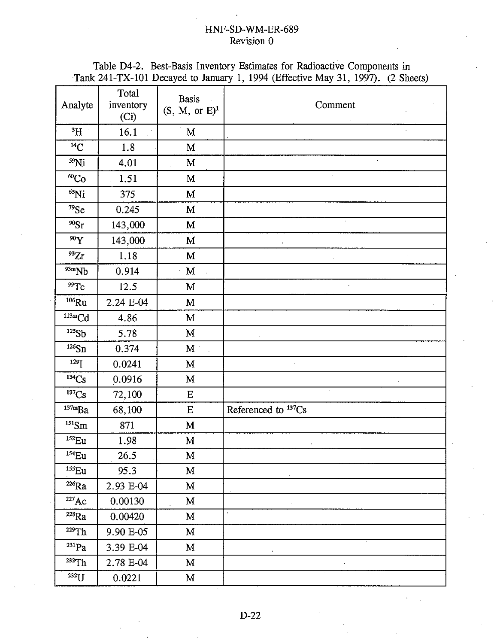| Table D4-2. Best-Basis Inventory Estimates for Radioactive Components in        |  |  |  |  |  |
|---------------------------------------------------------------------------------|--|--|--|--|--|
| Tank 241-TX-101 Decayed to January 1, 1994 (Effective May 31, 1997). (2 Sheets) |  |  |  |  |  |

| Analyte                  | Total<br>inventory<br>(Ci) | <b>Basis</b><br>$(S, M, or E)^1$ | Comment                         |
|--------------------------|----------------------------|----------------------------------|---------------------------------|
| $\rm ^3H$                | 16.1<br>$\mathbb{R}^2$     | M                                |                                 |
| $^{14}$ C                | 1.8                        | M                                |                                 |
| $59$ Ni                  | 4.01                       | M                                | $\ddot{\phantom{0}}$            |
| $\overline{\infty}_{Co}$ | 1.51                       | M                                |                                 |
| ${}^{63}$ Ni             | 375                        | M                                |                                 |
| $79$ Se                  | 0.245                      | M                                |                                 |
| $^{90}Sr$                | 143,000                    | M                                |                                 |
| $\boldsymbol{^{90}Y}$    | 143,000                    | M                                |                                 |
| $^{93}Zr$                | 1.18                       | M                                |                                 |
| $93m$ Nb                 | 0.914                      | $\mathbf M$                      |                                 |
| $^{99}$ Tc               | 12.5                       | ${\bf M}$                        |                                 |
| $106$ Ru                 | 2.24 E-04                  | M                                |                                 |
| 113mCd                   | 4.86                       | M                                |                                 |
| 125Sb                    | 5.78                       | M                                |                                 |
| $126$ Sn                 | 0.374                      | $\mathbf M$                      |                                 |
| $129$ <sup>T</sup>       | 0.0241                     | M                                |                                 |
| 134Cs                    | 0.0916                     | M                                |                                 |
| $^{137}\mathrm{Cs}$      | 72,100                     | Е                                |                                 |
| 137mBa                   | 68,100                     | E                                | Referenced to <sup>137</sup> Cs |
| $151$ Sm                 | 871                        | M                                |                                 |
| $152$ Eu                 | 1.98                       | M                                |                                 |
| $154$ Eu                 | 26.5                       | M                                |                                 |
| $155$ Eu                 | 95.3                       | M                                |                                 |
| $226$ Ra                 | 2.93 E-04                  | M                                |                                 |
| $\overline{^{227}}$ Ac   | 0.00130                    | M                                |                                 |
| 228Ra                    | 0.00420                    | M                                |                                 |
| $229$ Th                 | 9.90 E-05                  | M                                |                                 |
| $\mathrm{^{231}Pa}$      | 3.39 E-04                  | M                                |                                 |
| $232$ Th                 | 2.78 E-04                  | M                                |                                 |
| $\overline{^{232}U}$     | 0.0221                     | M                                |                                 |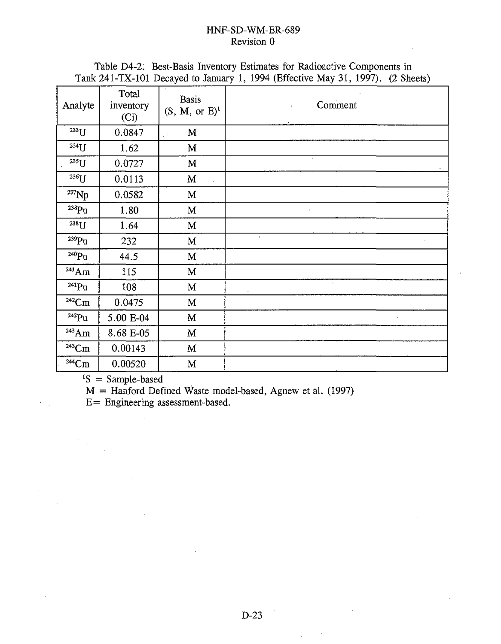| Table D4-2. Best-Basis Inventory Estimates for Radioactive Components in        |  |  |  |  |
|---------------------------------------------------------------------------------|--|--|--|--|
| Tank 241-TX-101 Decayed to January 1, 1994 (Effective May 31, 1997). (2 Sheets) |  |  |  |  |

| Analyte               | Total<br>inventory<br>(Ci) | <b>Basis</b><br>$(S, M, or E)^1$ | Comment           |
|-----------------------|----------------------------|----------------------------------|-------------------|
| $233$ U               | 0.0847                     | M<br>i.                          |                   |
| 234 <sub>LJ</sub>     | 1.62                       | M                                |                   |
| $235$ U               | 0.0727                     | M                                | $\bullet$         |
| $236$ U               | 0.0113                     | M<br>k.                          |                   |
| $237$ Np              | 0.0582                     | M                                |                   |
| $238$ Pu              | 1,80                       | M                                |                   |
| $238$ U               | 1.64                       | M                                |                   |
| $239$ Pu              | 232                        | M                                | ×.                |
| $240$ Pu              | 44.5                       | M                                |                   |
| $\overline{^{241}}Am$ | 115                        | M                                |                   |
| $^{241}Pu$            | 108                        | M                                | $\sim$<br>$\cdot$ |
| $242$ Cm              | 0.0475                     | M                                |                   |
| $242$ Pu              | 5.00 E-04                  | M                                |                   |
| $\overline{^{243}}Am$ | 8.68 E-05                  | М                                |                   |
| $243$ Cm              | 0.00143                    | M                                |                   |
| $244$ Cm              | 0.00520                    | M                                |                   |

 $S =$  Sample-based

M = Hanford Defined Waste model-based, Agnew et al. (1997)

E= Engineering assessment-based.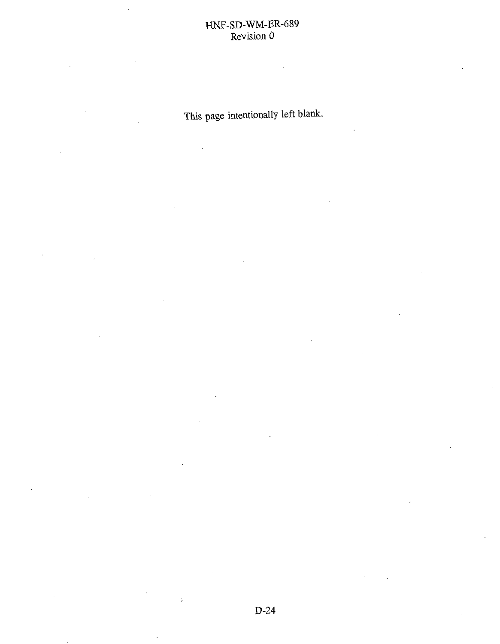This page intentionally left blank.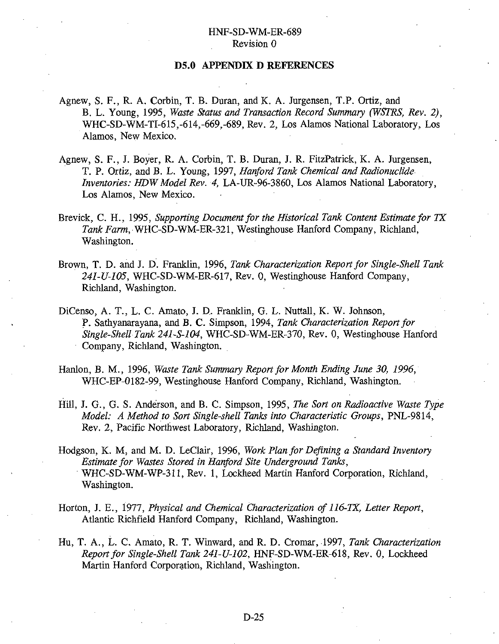#### **D5.0 APPENDIX D REFERENCES**

- Agnew, S. F., R. A. Corbin, T. B. Duran, and K. A. Jurgensen, T.P. Ortiz, and B. L. Young, 1995, *Waste Status and Transaction Record Summary (WSTRS, Rev. 2),* WHC-SD-WM-TI-615,-614,-669,-689, Rev. 2, Los Alamos National Laboratory, Los Alamos, New Mexico.
- Agnew, S. F., J. Boyer, R. A. Corbin, T. B. Duran, J. R. FitzPatrick, K. A. Jurgensen, T. P. Ortiz, and B. L. Young, 1997, *Hanford Tank Chemical and Radionuclide Inventories: HDW Model Rev. 4,* LA-UR-96-3860, Los Alamos National Laboratory, Los Alamos, New Mexico.
- Brevick, C. H., 1995, *Supporting Document for the Historical Tank Content Estimate for TX Tank Farm,* WHC-SD-WM-ER-321, Westinghouse Hanford Company, Richland, Washington.
- Brown, T. D. and J. D. Franklin, 1996, *Tank Characterization Report for Single-Shell Tank 241-U-105,* WHC-SD-WM-ER-617, Rev. 0, Westinghouse Hanford Company, Richland, Washington.
- DiCenso, A. T., L. C. Amato, J. D. Franklin, G. L. Nuttall, K. W. Johnson, P. Sathyanarayana, and B. C. Simpson, 1994, *Tank Characterization Report for Single-Shell Tank 241-S-104,* WHC-SD-WM-ER-370, Rev. 0, Westinghouse Hanford Company, Richland, Washington.
- Hanlon, B. M., 1996, *Waste Tank Summary Report for Month Ending June 30, 1996,* WHC-EP-0182-99, Westinghouse Hanford Company, Richland, Washington.
- Hill, J. G., G. S. Anderson, and B. C. Simpson, 1995, *The Sort on Radioactive Waste Type Model: A Method to Sort Single-shell Tanks into Characteristic Groups,* PNL-9814, Rev. 2, Pacific Northwest Laboratory, Richland, Washington.
- Hodgson, K. M, and M. D. LeClair, 1996, *Work Plan for Defining a Standard Inventory Estimate for Wastes Stored in Hanford Site Underground Tanks,* WHC-SD-WM-WP-311, Rev. 1, Lockheed Martin Hanford Corporation, Richland, Washington.
- Horton, J. E., 1977, *Physical and Chemical Characterization of 116-TX, Letter Report,* Atlantic Richfield Hanford Company, Richland, Washington.
- Hu, T. A., L. C. Amato, R. T. Winward, and R. D. Cromar, 1997, *Tank Characterization Report for Single-Shell Tank 241-U-102,* HNF-SD-WM-ER-618, Rev. 0, Lockheed Martin Hanford Corporation, Richland, Washington.